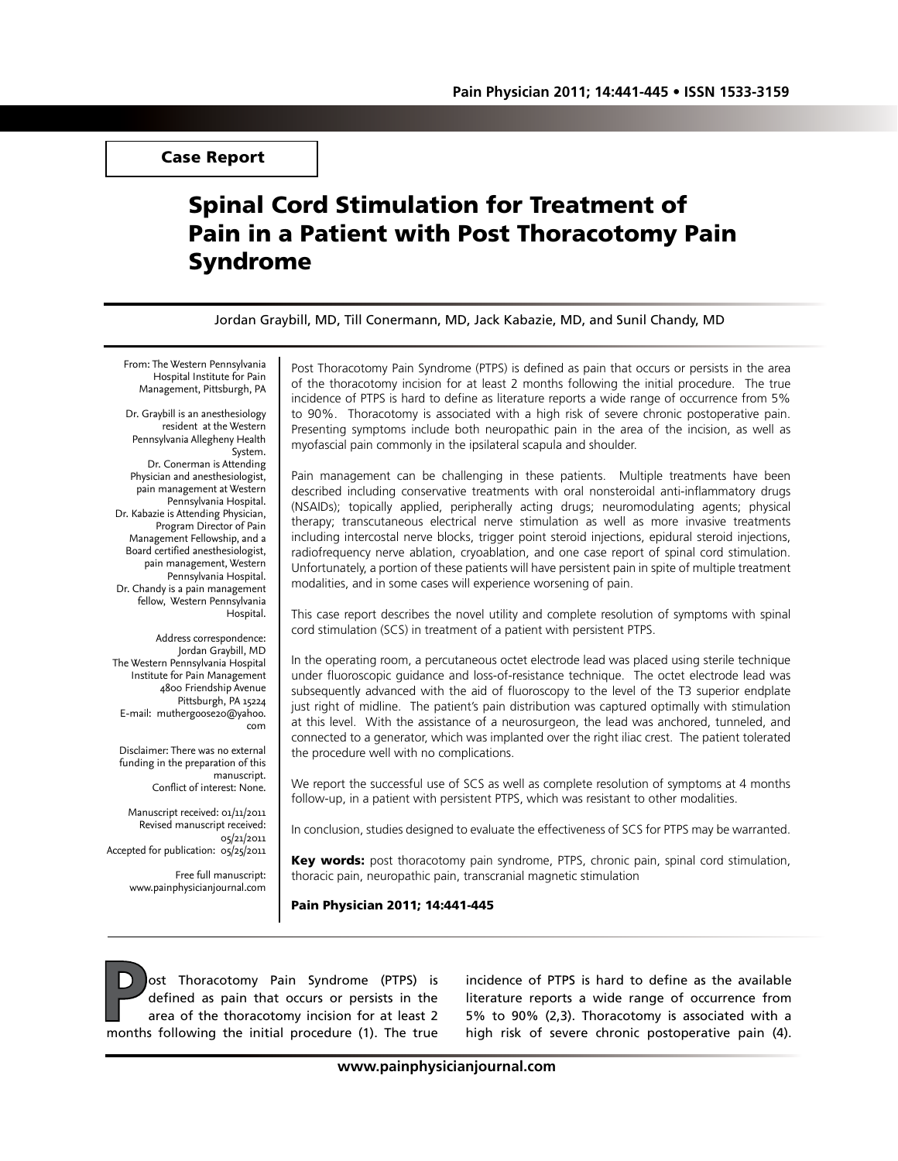Case Report

# Spinal Cord Stimulation for Treatment of Pain in a Patient with Post Thoracotomy Pain Syndrome

Jordan Graybill, MD, Till Conermann, MD, Jack Kabazie, MD, and Sunil Chandy, MD

From: The Western Pennsylvania Hospital Institute for Pain Management, Pittsburgh, PA

Dr. Graybill is an anesthesiology resident at the Western Pennsylvania Allegheny Health System. Dr. Conerman is Attending Physician and anesthesiologist, pain management at Western Pennsylvania Hospital. Dr. Kabazie is Attending Physician, Program Director of Pain Management Fellowship, and a Board certified anesthesiologist, pain management, Western Pennsylvania Hospital. Dr. Chandy is a pain management fellow, Western Pennsylvania Hospital.

Address correspondence: Jordan Graybill, MD The Western Pennsylvania Hospital Institute for Pain Management 4800 Friendship Avenue Pittsburgh, PA 15224 E-mail: muthergoose20@yahoo. com

Disclaimer: There was no external funding in the preparation of this manuscript. Conflict of interest: None.

Manuscript received: 01/11/2011 Revised manuscript received: 05/21/2011 Accepted for publication: 05/25/2011

> Free full manuscript: www.painphysicianjournal.com

Post Thoracotomy Pain Syndrome (PTPS) is defined as pain that occurs or persists in the area of the thoracotomy incision for at least 2 months following the initial procedure. The true incidence of PTPS is hard to define as literature reports a wide range of occurrence from 5% to 90%. Thoracotomy is associated with a high risk of severe chronic postoperative pain. Presenting symptoms include both neuropathic pain in the area of the incision, as well as myofascial pain commonly in the ipsilateral scapula and shoulder.

Pain management can be challenging in these patients. Multiple treatments have been described including conservative treatments with oral nonsteroidal anti-inflammatory drugs (NSAIDs); topically applied, peripherally acting drugs; neuromodulating agents; physical therapy; transcutaneous electrical nerve stimulation as well as more invasive treatments including intercostal nerve blocks, trigger point steroid injections, epidural steroid injections, radiofrequency nerve ablation, cryoablation, and one case report of spinal cord stimulation. Unfortunately, a portion of these patients will have persistent pain in spite of multiple treatment modalities, and in some cases will experience worsening of pain.

This case report describes the novel utility and complete resolution of symptoms with spinal cord stimulation (SCS) in treatment of a patient with persistent PTPS.

In the operating room, a percutaneous octet electrode lead was placed using sterile technique under fluoroscopic guidance and loss-of-resistance technique. The octet electrode lead was subsequently advanced with the aid of fluoroscopy to the level of the T3 superior endplate just right of midline. The patient's pain distribution was captured optimally with stimulation at this level. With the assistance of a neurosurgeon, the lead was anchored, tunneled, and connected to a generator, which was implanted over the right iliac crest. The patient tolerated the procedure well with no complications.

We report the successful use of SCS as well as complete resolution of symptoms at 4 months follow-up, in a patient with persistent PTPS, which was resistant to other modalities.

In conclusion, studies designed to evaluate the effectiveness of SCS for PTPS may be warranted.

Key words: post thoracotomy pain syndrome, PTPS, chronic pain, spinal cord stimulation, thoracic pain, neuropathic pain, transcranial magnetic stimulation

Pain Physician 2011; 14:441-445

**Post Thoracotomy Pain Syndrome (PTPS) is<br>defined as pain that occurs or persists in the<br>area of the thoracotomy incision for at least 2<br>months following the initial procedure (1). The true** defined as pain that occurs or persists in the area of the thoracotomy incision for at least 2 months following the initial procedure (1). The true

incidence of PTPS is hard to define as the available literature reports a wide range of occurrence from 5% to 90% (2,3). Thoracotomy is associated with a high risk of severe chronic postoperative pain (4).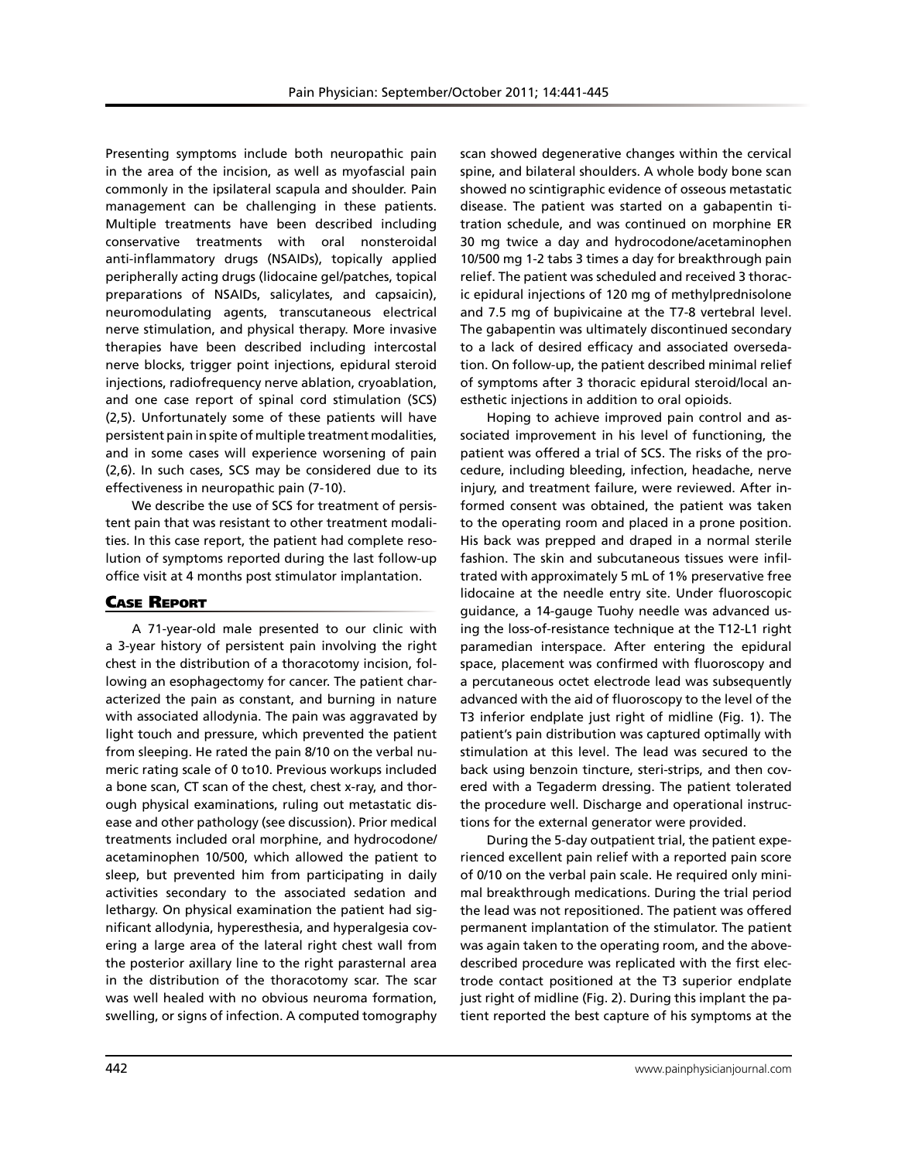Presenting symptoms include both neuropathic pain in the area of the incision, as well as myofascial pain commonly in the ipsilateral scapula and shoulder. Pain management can be challenging in these patients. Multiple treatments have been described including conservative treatments with oral nonsteroidal anti-inflammatory drugs (NSAIDs), topically applied peripherally acting drugs (lidocaine gel/patches, topical preparations of NSAIDs, salicylates, and capsaicin), neuromodulating agents, transcutaneous electrical nerve stimulation, and physical therapy. More invasive therapies have been described including intercostal nerve blocks, trigger point injections, epidural steroid injections, radiofrequency nerve ablation, cryoablation, and one case report of spinal cord stimulation (SCS) (2,5). Unfortunately some of these patients will have persistent pain in spite of multiple treatment modalities, and in some cases will experience worsening of pain (2,6). In such cases, SCS may be considered due to its effectiveness in neuropathic pain (7-10).

We describe the use of SCS for treatment of persistent pain that was resistant to other treatment modalities. In this case report, the patient had complete resolution of symptoms reported during the last follow-up office visit at 4 months post stimulator implantation.

## Case Report

A 71-year-old male presented to our clinic with a 3-year history of persistent pain involving the right chest in the distribution of a thoracotomy incision, following an esophagectomy for cancer. The patient characterized the pain as constant, and burning in nature with associated allodynia. The pain was aggravated by light touch and pressure, which prevented the patient from sleeping. He rated the pain 8/10 on the verbal numeric rating scale of 0 to10. Previous workups included a bone scan, CT scan of the chest, chest x-ray, and thorough physical examinations, ruling out metastatic disease and other pathology (see discussion). Prior medical treatments included oral morphine, and hydrocodone/ acetaminophen 10/500, which allowed the patient to sleep, but prevented him from participating in daily activities secondary to the associated sedation and lethargy. On physical examination the patient had significant allodynia, hyperesthesia, and hyperalgesia covering a large area of the lateral right chest wall from the posterior axillary line to the right parasternal area in the distribution of the thoracotomy scar. The scar was well healed with no obvious neuroma formation, swelling, or signs of infection. A computed tomography

scan showed degenerative changes within the cervical spine, and bilateral shoulders. A whole body bone scan showed no scintigraphic evidence of osseous metastatic disease. The patient was started on a gabapentin titration schedule, and was continued on morphine ER 30 mg twice a day and hydrocodone/acetaminophen 10/500 mg 1-2 tabs 3 times a day for breakthrough pain relief. The patient was scheduled and received 3 thoracic epidural injections of 120 mg of methylprednisolone and 7.5 mg of bupivicaine at the T7-8 vertebral level. The gabapentin was ultimately discontinued secondary to a lack of desired efficacy and associated oversedation. On follow-up, the patient described minimal relief of symptoms after 3 thoracic epidural steroid/local anesthetic injections in addition to oral opioids.

Hoping to achieve improved pain control and associated improvement in his level of functioning, the patient was offered a trial of SCS. The risks of the procedure, including bleeding, infection, headache, nerve injury, and treatment failure, were reviewed. After informed consent was obtained, the patient was taken to the operating room and placed in a prone position. His back was prepped and draped in a normal sterile fashion. The skin and subcutaneous tissues were infiltrated with approximately 5 mL of 1% preservative free lidocaine at the needle entry site. Under fluoroscopic guidance, a 14-gauge Tuohy needle was advanced using the loss-of-resistance technique at the T12-L1 right paramedian interspace. After entering the epidural space, placement was confirmed with fluoroscopy and a percutaneous octet electrode lead was subsequently advanced with the aid of fluoroscopy to the level of the T3 inferior endplate just right of midline (Fig. 1). The patient's pain distribution was captured optimally with stimulation at this level. The lead was secured to the back using benzoin tincture, steri-strips, and then covered with a Tegaderm dressing. The patient tolerated the procedure well. Discharge and operational instructions for the external generator were provided.

During the 5-day outpatient trial, the patient experienced excellent pain relief with a reported pain score of 0/10 on the verbal pain scale. He required only minimal breakthrough medications. During the trial period the lead was not repositioned. The patient was offered permanent implantation of the stimulator. The patient was again taken to the operating room, and the abovedescribed procedure was replicated with the first electrode contact positioned at the T3 superior endplate just right of midline (Fig. 2). During this implant the patient reported the best capture of his symptoms at the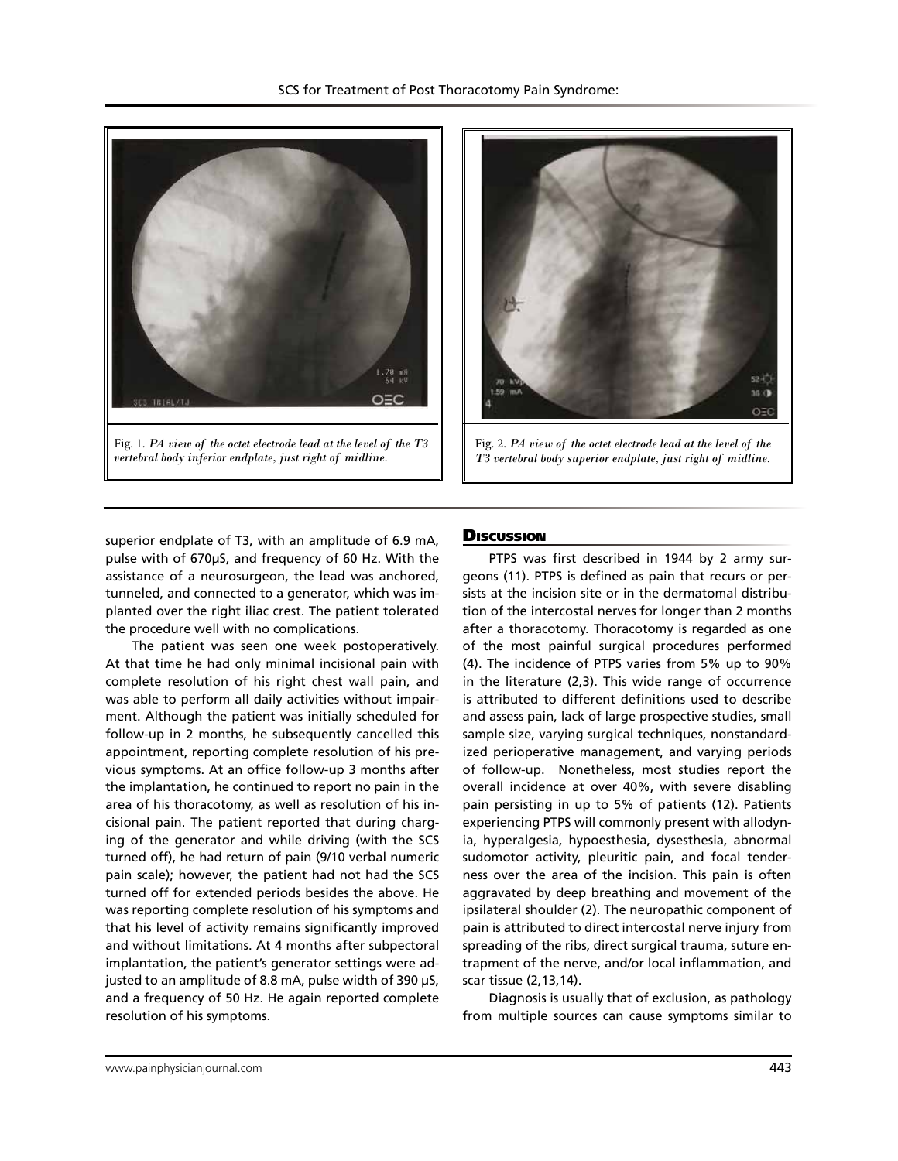



Fig. 2. *PA view of the octet electrode lead at the level of the T3 vertebral body superior endplate, just right of midline.*

superior endplate of T3, with an amplitude of 6.9 mA, pulse with of 670µS, and frequency of 60 Hz. With the assistance of a neurosurgeon, the lead was anchored, tunneled, and connected to a generator, which was implanted over the right iliac crest. The patient tolerated the procedure well with no complications.

The patient was seen one week postoperatively. At that time he had only minimal incisional pain with complete resolution of his right chest wall pain, and was able to perform all daily activities without impairment. Although the patient was initially scheduled for follow-up in 2 months, he subsequently cancelled this appointment, reporting complete resolution of his previous symptoms. At an office follow-up 3 months after the implantation, he continued to report no pain in the area of his thoracotomy, as well as resolution of his incisional pain. The patient reported that during charging of the generator and while driving (with the SCS turned off), he had return of pain (9/10 verbal numeric pain scale); however, the patient had not had the SCS turned off for extended periods besides the above. He was reporting complete resolution of his symptoms and that his level of activity remains significantly improved and without limitations. At 4 months after subpectoral implantation, the patient's generator settings were adjusted to an amplitude of 8.8 mA, pulse width of 390 µS, and a frequency of 50 Hz. He again reported complete resolution of his symptoms.

#### **Discussion**

PTPS was first described in 1944 by 2 army surgeons (11). PTPS is defined as pain that recurs or persists at the incision site or in the dermatomal distribution of the intercostal nerves for longer than 2 months after a thoracotomy. Thoracotomy is regarded as one of the most painful surgical procedures performed (4). The incidence of PTPS varies from 5% up to 90% in the literature (2,3). This wide range of occurrence is attributed to different definitions used to describe and assess pain, lack of large prospective studies, small sample size, varying surgical techniques, nonstandardized perioperative management, and varying periods of follow-up. Nonetheless, most studies report the overall incidence at over 40%, with severe disabling pain persisting in up to 5% of patients (12). Patients experiencing PTPS will commonly present with allodynia, hyperalgesia, hypoesthesia, dysesthesia, abnormal sudomotor activity, pleuritic pain, and focal tenderness over the area of the incision. This pain is often aggravated by deep breathing and movement of the ipsilateral shoulder (2). The neuropathic component of pain is attributed to direct intercostal nerve injury from spreading of the ribs, direct surgical trauma, suture entrapment of the nerve, and/or local inflammation, and scar tissue (2,13,14).

Diagnosis is usually that of exclusion, as pathology from multiple sources can cause symptoms similar to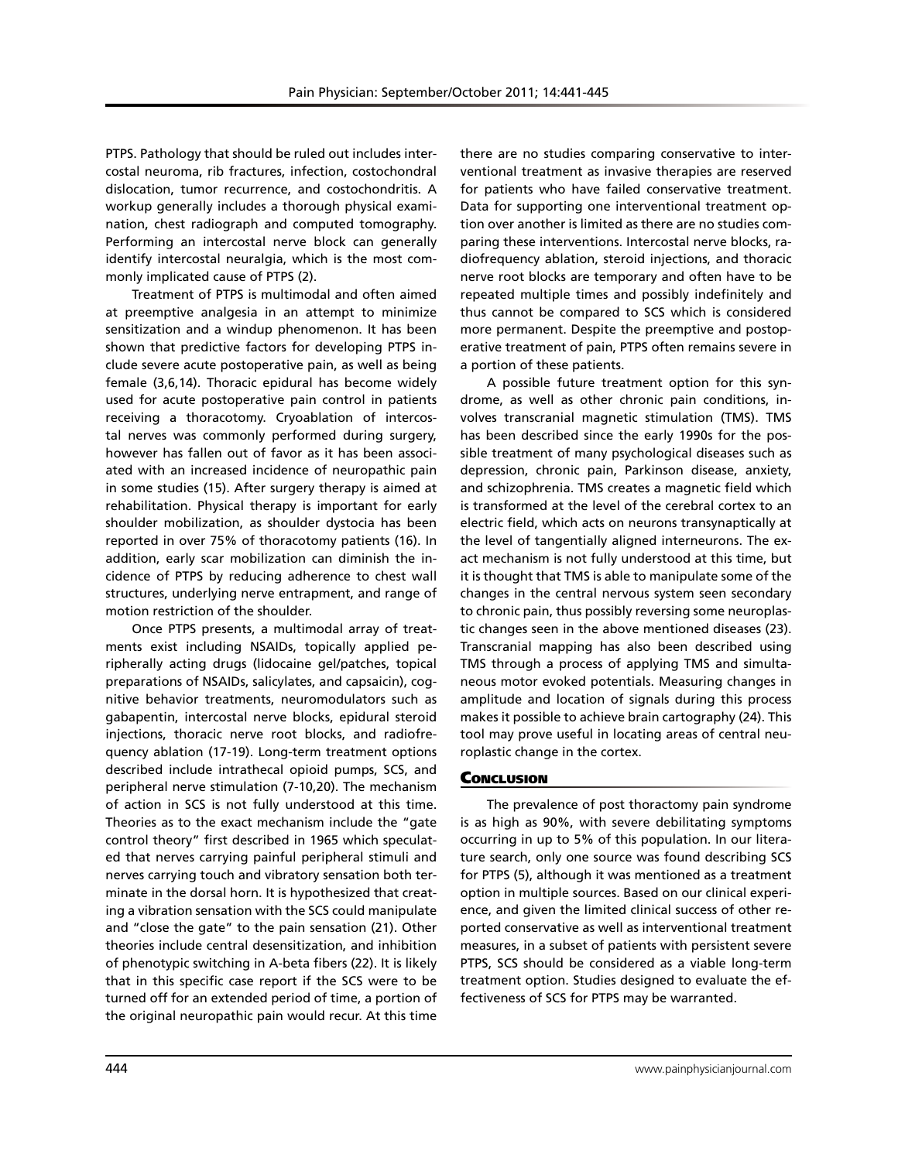PTPS. Pathology that should be ruled out includes intercostal neuroma, rib fractures, infection, costochondral dislocation, tumor recurrence, and costochondritis. A workup generally includes a thorough physical examination, chest radiograph and computed tomography. Performing an intercostal nerve block can generally identify intercostal neuralgia, which is the most commonly implicated cause of PTPS (2).

Treatment of PTPS is multimodal and often aimed at preemptive analgesia in an attempt to minimize sensitization and a windup phenomenon. It has been shown that predictive factors for developing PTPS include severe acute postoperative pain, as well as being female (3,6,14). Thoracic epidural has become widely used for acute postoperative pain control in patients receiving a thoracotomy. Cryoablation of intercostal nerves was commonly performed during surgery, however has fallen out of favor as it has been associated with an increased incidence of neuropathic pain in some studies (15). After surgery therapy is aimed at rehabilitation. Physical therapy is important for early shoulder mobilization, as shoulder dystocia has been reported in over 75% of thoracotomy patients (16). In addition, early scar mobilization can diminish the incidence of PTPS by reducing adherence to chest wall structures, underlying nerve entrapment, and range of motion restriction of the shoulder.

Once PTPS presents, a multimodal array of treatments exist including NSAIDs, topically applied peripherally acting drugs (lidocaine gel/patches, topical preparations of NSAIDs, salicylates, and capsaicin), cognitive behavior treatments, neuromodulators such as gabapentin, intercostal nerve blocks, epidural steroid injections, thoracic nerve root blocks, and radiofrequency ablation (17-19). Long-term treatment options described include intrathecal opioid pumps, SCS, and peripheral nerve stimulation (7-10,20). The mechanism of action in SCS is not fully understood at this time. Theories as to the exact mechanism include the "gate control theory" first described in 1965 which speculated that nerves carrying painful peripheral stimuli and nerves carrying touch and vibratory sensation both terminate in the dorsal horn. It is hypothesized that creating a vibration sensation with the SCS could manipulate and "close the gate" to the pain sensation (21). Other theories include central desensitization, and inhibition of phenotypic switching in A-beta fibers (22). It is likely that in this specific case report if the SCS were to be turned off for an extended period of time, a portion of the original neuropathic pain would recur. At this time

there are no studies comparing conservative to interventional treatment as invasive therapies are reserved for patients who have failed conservative treatment. Data for supporting one interventional treatment option over another is limited as there are no studies comparing these interventions. Intercostal nerve blocks, radiofrequency ablation, steroid injections, and thoracic nerve root blocks are temporary and often have to be repeated multiple times and possibly indefinitely and thus cannot be compared to SCS which is considered more permanent. Despite the preemptive and postoperative treatment of pain, PTPS often remains severe in a portion of these patients.

A possible future treatment option for this syndrome, as well as other chronic pain conditions, involves transcranial magnetic stimulation (TMS). TMS has been described since the early 1990s for the possible treatment of many psychological diseases such as depression, chronic pain, Parkinson disease, anxiety, and schizophrenia. TMS creates a magnetic field which is transformed at the level of the cerebral cortex to an electric field, which acts on neurons transynaptically at the level of tangentially aligned interneurons. The exact mechanism is not fully understood at this time, but it is thought that TMS is able to manipulate some of the changes in the central nervous system seen secondary to chronic pain, thus possibly reversing some neuroplastic changes seen in the above mentioned diseases (23). Transcranial mapping has also been described using TMS through a process of applying TMS and simultaneous motor evoked potentials. Measuring changes in amplitude and location of signals during this process makes it possible to achieve brain cartography (24). This tool may prove useful in locating areas of central neuroplastic change in the cortex.

### **Conclusion**

The prevalence of post thoractomy pain syndrome is as high as 90%, with severe debilitating symptoms occurring in up to 5% of this population. In our literature search, only one source was found describing SCS for PTPS (5), although it was mentioned as a treatment option in multiple sources. Based on our clinical experience, and given the limited clinical success of other reported conservative as well as interventional treatment measures, in a subset of patients with persistent severe PTPS, SCS should be considered as a viable long-term treatment option. Studies designed to evaluate the effectiveness of SCS for PTPS may be warranted.